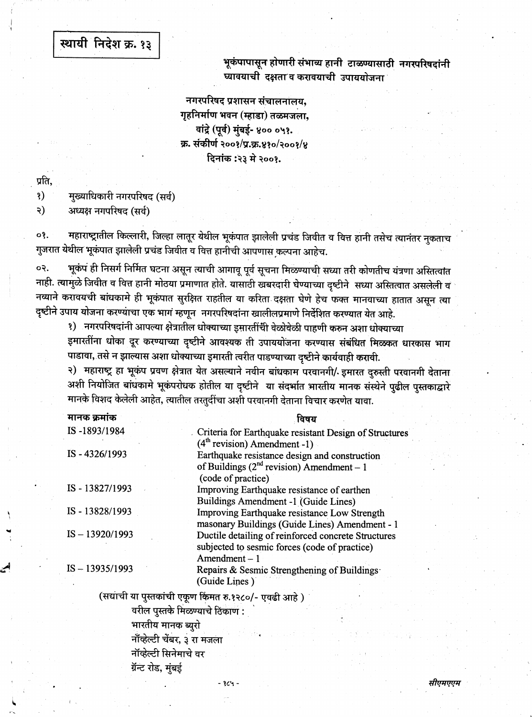## स्थायी निदेश क्र. १३

भूकंपापासून होणारी संभाव्य हानी टाळण्यासाठी नगरपरिषदांनी घ्यावयाची दक्षता व करावयाची उपाययोजना

नगरपरिषद प्रशासन संचालनालय, गृहनिर्माण भवन (म्हाडा) तळमजला, वांद्रे (पूर्व) मुंबई- ४०० ०५१. क्र. संकीर्ण २००१/प्र.क्र.४१०/२००१/४ दिनांक :२३ मे २००१.

प्रति,

 $\mathbf{S}$ मुख्याधिकारी नगरपरिषद (सर्व)

२) अध्यक्ष नगपरिषद (सर्व)

महाराष्ट्रातील किल्लारी, जिल्हा लातूर येथील भूकंपात झालेली प्रचंड जिवीत व वित्त हानी तसेच त्यानंतर नुकताच οş. गुजरात येथील भूकंपात झालेली प्रचंड जिवीत व वित्त हानीची आपणास कल्पना आहेच.

भूकंप ही निसर्ग निर्मित घटना असून त्याची आगावू पूर्व सूचना मिळण्याची सध्या तरी कोणतीच यंत्रणा अस्तित्वांत ०२. नाही. त्यामुळे जिवीत व वित्त हानी मोठया प्रमाणात होते. यासाठी खबरदारी घेण्याच्या दृष्टीने सध्या अस्तित्वात असलेली व नव्याने करावयची बांधकामे ही भूकंपात सुरक्षित राहतील या करिता दक्षता घेणे हेच फक्त मानवाच्या हातात असून त्या दृष्टीने उपाय योजना करण्याचा एक भाग म्हणून नगरपरिषदांना खालीलप्रमाणे निर्देशित करण्यात येत आहे.

१) नगरपरिषदांनी आपल्या क्षेत्रातील धोक्याच्या इमारतींची वेळोवेळी पाहणी करुन अशा धोक्याच्या इमारतींना धोका दूर करण्याच्या दृष्टीने आवश्यक ती उपाययोजना करण्यास संबंधित मिळकत धारकास भाग पाडावा, तसे न झाल्यास अशा धोक्याच्या इमारती त्वरीत पाडण्याच्या दृष्टीने कार्यवाही करावी.

२) महाराष्ट्र हा भूकंप प्रवण क्षेत्रात येत असल्याने नवीन बांधकाम परवानगी/ इमारत दुरुस्ती परवानगी देताना अशी नियोजित बांधकामे भूकंपरोधक होतील या दृष्टीने या संदर्भात भारतीय मानक संस्थेने पुढील पुस्तकाद्वारे मानके विशद केलेली आहेत, त्यातील तरतुर्दीचा अशी परवानगी देताना विचार करणेत यावा.

| मानक क्रमांक      | विषय                                                                                                                            |
|-------------------|---------------------------------------------------------------------------------------------------------------------------------|
| IS-1893/1984      | Criteria for Earthquake resistant Design of Structures                                                                          |
| IS-4326/1993      | $(4th$ revision) Amendment -1)<br>Earthquake resistance design and construction<br>of Buildings ( $2nd$ revision) Amendment – 1 |
|                   | (code of practice)                                                                                                              |
| IS-13827/1993     | Improving Earthquake resistance of earthen                                                                                      |
|                   | Buildings Amendment -1 (Guide Lines)                                                                                            |
| IS-13828/1993     | Improving Earthquake resistance Low Strength<br>masonary Buildings (Guide Lines) Amendment - 1                                  |
| $IS - 13920/1993$ | Ductile detailing of reinforced concrete Structures<br>subjected to sesmic forces (code of practice)<br>$A$ mendment $-1$       |
| $IS - 13935/1993$ | Repairs & Sesmic Strengthening of Buildings<br>(Guide Lines)                                                                    |
|                   | (सद्याची या पुस्तकांची एकण किंमत रु.१२८०/- एवढी आहे )                                                                           |

वरील पुस्तके मिळण्याचे ठिकाण : भारतीय मानक ब्यरो नॉव्हेल्टी चेंबर, ३ रा मजला नॉव्हेल्टी सिनेमाचे वर ग्रॅन्ट रोड, मुंबई

- १८५